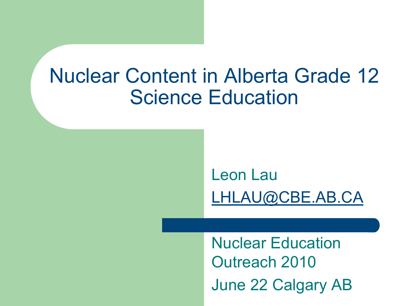#### Nuclear Content in Alberta Grade 12 **Science Education**

#### Leon Lau LHLAU@CBE.AB.CA

Nuclear Education Outreach 2010 June 22 Calgary AB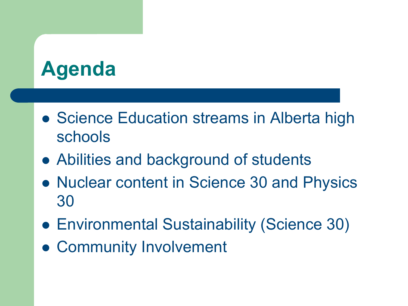#### **Agenda**

- Science Education streams in Alberta high schools
- Abilities and background of students
- Nuclear content in Science 30 and Physics 30
- Environmental Sustainability (Science 30)
- Community Involvement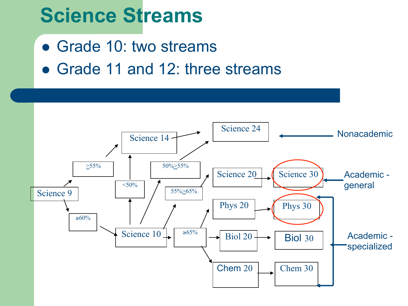## **Science Streams**

- Grade 10: two streams
- Grade 11 and 12: three streams

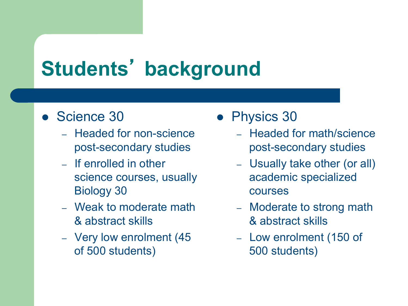# **Students**' **background**

- Science 30
	- Headed for non-science post-secondary studies
	- If enrolled in other science courses, usually Biology 30
	- Weak to moderate math & abstract skills
	- Very low enrolment (45 of 500 students)
- Physics 30
	- Headed for math/science post-secondary studies
	- Usually take other (or all) academic specialized courses
	- Moderate to strong math & abstract skills
	- Low enrolment (150 of 500 students)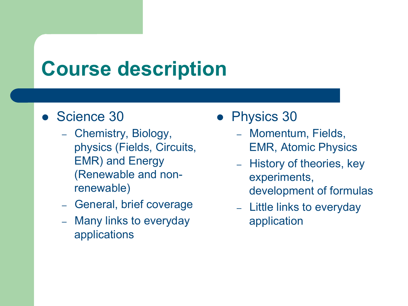## **Course description**

- Science 30
	- Chemistry, Biology, physics (Fields, Circuits, EMR) and Energy (Renewable and nonrenewable)
	- General, brief coverage
	- Many links to everyday applications
- Physics 30
	- Momentum, Fields, EMR, Atomic Physics
	- History of theories, key experiments, development of formulas
	- Little links to everyday application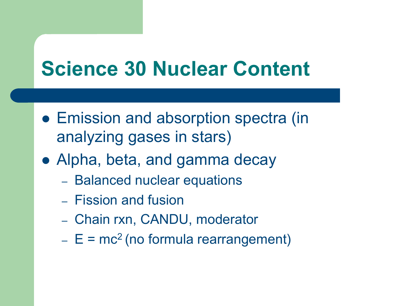## **Science 30 Nuclear Content**

- Emission and absorption spectra (in analyzing gases in stars)
- Alpha, beta, and gamma decay
	- Balanced nuclear equations
	- Fission and fusion
	- Chain rxn, CANDU, moderator
	- $E = mc<sup>2</sup>$  (no formula rearrangement)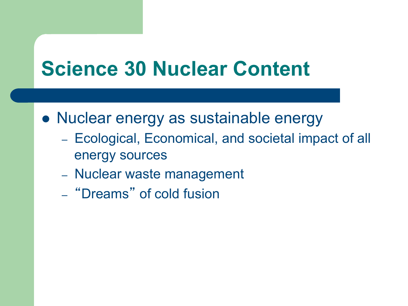## **Science 30 Nuclear Content**

- Nuclear energy as sustainable energy
	- Ecological, Economical, and societal impact of all energy sources
	- Nuclear waste management
	- "Dreams" of cold fusion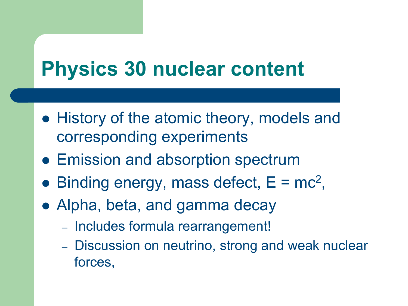## **Physics 30 nuclear content**

- History of the atomic theory, models and corresponding experiments
- Emission and absorption spectrum
- $\bullet$  Binding energy, mass defect,  $E = mc^2$ ,
- Alpha, beta, and gamma decay
	- Includes formula rearrangement!
	- Discussion on neutrino, strong and weak nuclear forces,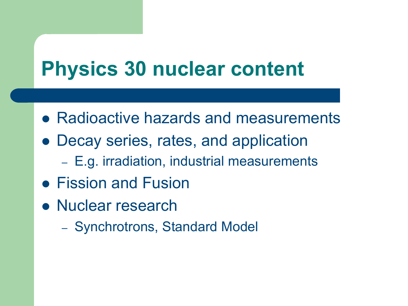## **Physics 30 nuclear content**

- Radioactive hazards and measurements
- Decay series, rates, and application
	- E.g. irradiation, industrial measurements
- Fission and Fusion
- Nuclear research
	- Synchrotrons, Standard Model